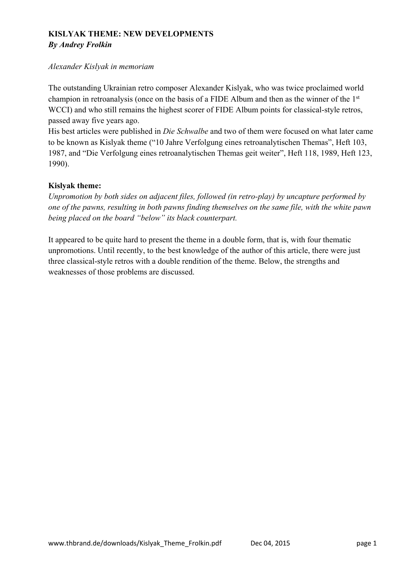# **KISLYAK THEME: NEW DEVELOPMENTS** *By Andrey Frolkin*

#### *Alexander Kislyak in memoriam*

The outstanding Ukrainian retro composer Alexander Kislyak, who was twice proclaimed world champion in retroanalysis (once on the basis of a FIDE Album and then as the winner of the 1<sup>st</sup> WCCI) and who still remains the highest scorer of FIDE Album points for classical-style retros, passed away five years ago.

His best articles were published in *Die Schwalbe* and two of them were focused on what later came to be known as Kislyak theme ("10 Jahre Verfolgung eines retroanalytischen Themas", Heft 103, 1987, and "Die Verfolgung eines retroanalytischen Themas geit weiter", Heft 118, 1989, Heft 123, 1990).

## **Kislyak theme:**

*Unpromotion by both sides on adjacent files, followed (in retro-play) by uncapture performed by one of the pawns, resulting in both pawns finding themselves on the same file, with the white pawn being placed on the board "below" its black counterpart.*

It appeared to be quite hard to present the theme in a double form, that is, with four thematic unpromotions. Until recently, to the best knowledge of the author of this article, there were just three classical-style retros with a double rendition of the theme. Below, the strengths and weaknesses of those problems are discussed.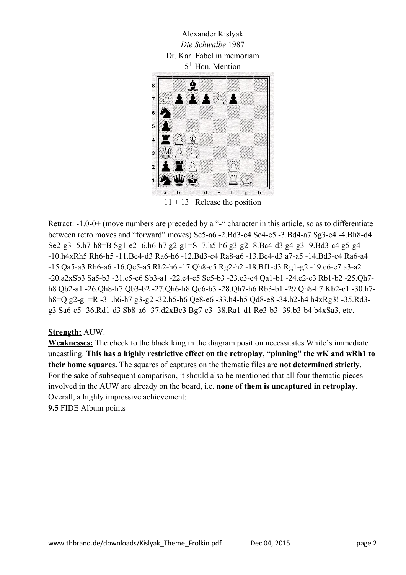Alexander Kislyak *Die Schwalbe* 1987 Dr. Karl Fabel in memoriam 5 th Hon. Mention



 $11 + 13$  Release the position

Retract: -1.0-0+ (move numbers are preceded by a "-" character in this article, so as to differentiate between retro moves and "forward" moves) Sc5-a6 -2.Bd3-c4 Se4-c5 -3.Bd4-a7 Sg3-e4 -4.Bh8-d4 Se2-g3 -5.h7-h8=B Sg1-e2 -6.h6-h7 g2-g1=S -7.h5-h6 g3-g2 -8.Bc4-d3 g4-g3 -9.Bd3-c4 g5-g4 -10.h4xRh5 Rh6-h5 -11.Bc4-d3 Ra6-h6 -12.Bd3-c4 Ra8-a6 -13.Bc4-d3 a7-a5 -14.Bd3-c4 Ra6-a4 -15.Qa5-a3 Rh6-a6 -16.Qe5-a5 Rh2-h6 -17.Qh8-e5 Rg2-h2 -18.Bf1-d3 Rg1-g2 -19.e6-e7 a3-a2 -20.a2xSb3 Sa5-b3 -21.e5-e6 Sb3-a1 -22.e4-e5 Sc5-b3 -23.e3-e4 Qa1-b1 -24.e2-e3 Rb1-b2 -25.Qh7 h8 Qb2-a1 -26.Qh8-h7 Qb3-b2 -27.Qh6-h8 Qe6-b3 -28.Qh7-h6 Rb3-b1 -29.Qh8-h7 Kb2-c1 -30.h7 h8=Q g2-g1=R -31.h6-h7 g3-g2 -32.h5-h6 Qe8-e6 -33.h4-h5 Qd8-e8 -34.h2-h4 h4xRg3! -35.Rd3 g3 Sa6-c5 -36.Rd1-d3 Sb8-a6 -37.d2xBc3 Bg7-c3 -38.Ra1-d1 Re3-b3 -39.b3-b4 b4xSa3, etc.

## **Strength:** AUW.

**Weaknesses:** The check to the black king in the diagram position necessitates White's immediate uncastling. **This has a highly restrictive effect on the retroplay, "pinning" the wK and wRh1 to their home squares.** The squares of captures on the thematic files are **not determined strictly**. For the sake of subsequent comparison, it should also be mentioned that all four thematic pieces involved in the AUW are already on the board, i.e. **none of them is uncaptured in retroplay**. Overall, a highly impressive achievement:

**9.5** FIDE Album points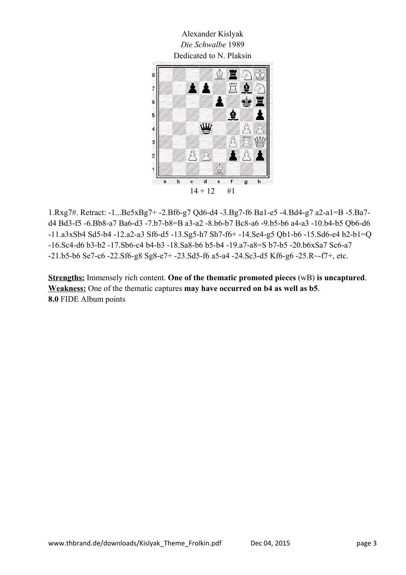Alexander Kislyak *Die Schwalbe* 1989 Dedicated to N. Plaksin



1.Rxg7#. Retract: -1...Be5xBg7+ -2.Bf6-g7 Qd6-d4 -3.Bg7-f6 Ba1-e5 -4.Bd4-g7 a2-a1=B -5.Ba7 d4 Bd3-f5 -6.Bb8-a7 Ba6-d3 -7.b7-b8=B a3-a2 -8.b6-b7 Bc8-a6 -9.b5-b6 a4-a3 -10.b4-b5 Qb6-d6 -11.a3xSb4 Sd5-b4 -12.a2-a3 Sf6-d5 -13.Sg5-h7 Sh7-f6+ -14.Se4-g5 Qb1-b6 -15.Sd6-e4 b2-b1=Q -16.Sc4-d6 b3-b2 -17.Sb6-c4 b4-b3 -18.Sa8-b6 b5-b4 -19.a7-a8=S b7-b5 -20.b6xSa7 Sc6-a7 -21.b5-b6 Se7-c6 -22.Sf6-g8 Sg8-e7+ -23.Sd5-f6 a5-a4 -24.Sc3-d5 Kf6-g6 -25.R~-f7+, etc.

**Strengths:** Immensely rich content. **One of the thematic promoted pieces** (wB) **is uncaptured**. **Weakness:** One of the thematic captures **may have occurred on b4 as well as b5**. **8.0** FIDE Album points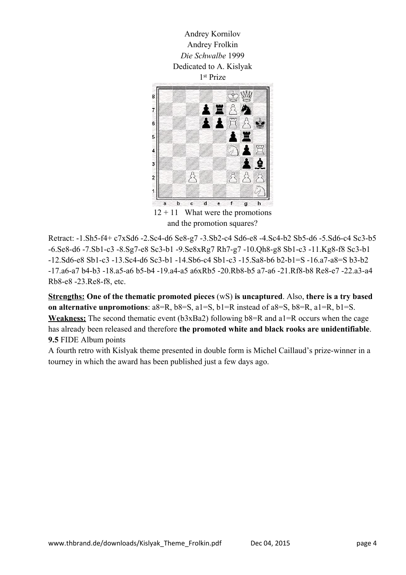

Retract: -1.Sh5-f4+ c7xSd6 -2.Sc4-d6 Se8-g7 -3.Sb2-c4 Sd6-e8 -4.Sc4-b2 Sb5-d6 -5.Sd6-c4 Sc3-b5 -6.Se8-d6 -7.Sb1-c3 -8.Sg7-e8 Sc3-b1 -9.Se8xRg7 Rh7-g7 -10.Qh8-g8 Sb1-c3 -11.Kg8-f8 Sc3-b1 -12.Sd6-e8 Sb1-c3 -13.Sc4-d6 Sc3-b1 -14.Sb6-c4 Sb1-c3 -15.Sa8-b6 b2-b1=S -16.a7-a8=S b3-b2 -17.a6-a7 b4-b3 -18.a5-a6 b5-b4 -19.a4-a5 a6xRb5 -20.Rb8-b5 a7-a6 -21.Rf8-b8 Re8-e7 -22.a3-a4 Rb8-e8 -23.Re8-f8, etc.

**Strengths: One of the thematic promoted pieces** (wS) **is uncaptured**. Also, **there is a try based on alternative unpromotions**: a8=R, b8=S, a1=S, b1=R instead of a8=S, b8=R, a1=R, b1=S. **Weakness:** The second thematic event (b3xBa2) following b8=R and a1=R occurs when the cage has already been released and therefore **the promoted white and black rooks are unidentifiable**. **9.5** FIDE Album points

A fourth retro with Kislyak theme presented in double form is Michel Caillaud's prize-winner in a tourney in which the award has been published just a few days ago.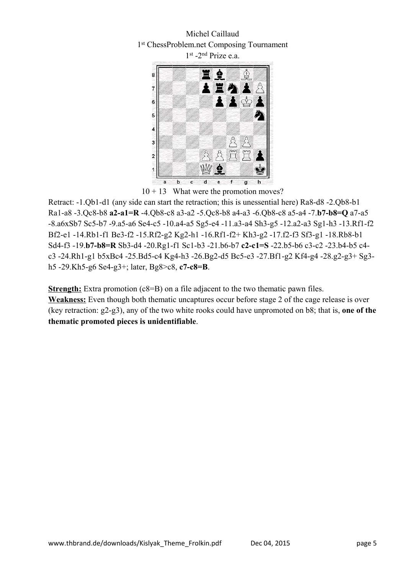

 $10 + 13$  What were the promotion moves?

Retract: -1.Qb1-d1 (any side can start the retraction; this is unessential here) Ra8-d8 -2.Qb8-b1 Ra1-a8 -3.Qc8-b8 **a2-a1=R** -4.Qb8-c8 a3-a2 -5.Qc8-b8 a4-a3 -6.Qb8-c8 a5-a4 -7.**b7-b8=Q** a7-a5 -8.a6xSb7 Sc5-b7 -9.a5-a6 Se4-c5 -10.a4-a5 Sg5-e4 -11.a3-a4 Sh3-g5 -12.a2-a3 Sg1-h3 -13.Rf1-f2 Bf2-e1 -14.Rb1-f1 Be3-f2 -15.Rf2-g2 Kg2-h1 -16.Rf1-f2+ Kh3-g2 -17.f2-f3 Sf3-g1 -18.Rb8-b1 Sd4-f3 -19.**b7-b8=R** Sb3-d4 -20.Rg1-f1 Sc1-b3 -21.b6-b7 **c2-c1=S** -22.b5-b6 c3-c2 -23.b4-b5 c4 c3 -24.Rh1-g1 b5xBc4 -25.Bd5-c4 Kg4-h3 -26.Bg2-d5 Bc5-e3 -27.Bf1-g2 Kf4-g4 -28.g2-g3+ Sg3 h5 -29.Kh5-g6 Se4-g3+; later, Bg8>c8, **c7-c8=B**.

**Strength:** Extra promotion (c8=B) on a file adjacent to the two thematic pawn files. **Weakness:** Even though both thematic uncaptures occur before stage 2 of the cage release is over (key retraction: g2-g3), any of the two white rooks could have unpromoted on b8; that is, **one of the thematic promoted pieces is unidentifiable**.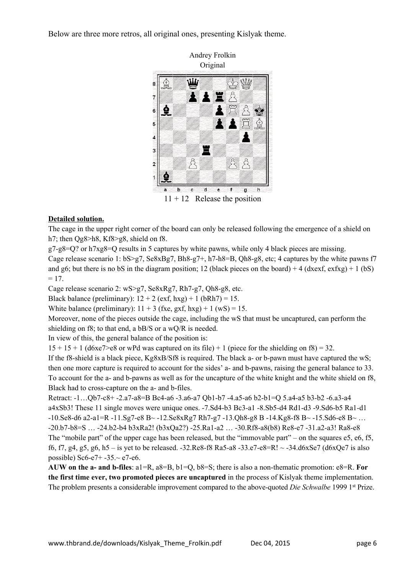Below are three more retros, all original ones, presenting Kislyak theme.



#### **Detailed solution.**

The cage in the upper right corner of the board can only be released following the emergence of a shield on h7; then Qg8>h8, Kf8>g8, shield on f8.

g7-g8=Q? or h7xg8=Q results in 5 captures by white pawns, while only 4 black pieces are missing. Cage release scenario 1: bS>g7, Se8xBg7, Bh8-g7+, h7-h8=B, Qh8-g8, etc; 4 captures by the white pawns f7 and g6; but there is no bS in the diagram position; 12 (black pieces on the board) + 4 (dxexf, exfxg) + 1 (bS)  $= 17.$ 

Cage release scenario 2: wS>g7, Se8xRg7, Rh7-g7, Qh8-g8, etc.

Black balance (preliminary):  $12 + 2$  (exf, hxg) + 1 (bRh7) = 15.

White balance (preliminary):  $11 + 3$  (fxe, gxf, hxg) + 1 (wS) = 15.

Moreover, none of the pieces outside the cage, including the wS that must be uncaptured, can perform the shielding on f8; to that end, a bB/S or a wQ/R is needed.

In view of this, the general balance of the position is:

 $15 + 15 + 1$  (d6xe7>e8 or wPd was captured on its file) + 1 (piece for the shielding on f8) = 32.

If the f8-shield is a black piece, Kg8xB/Sf8 is required. The black a- or b-pawn must have captured the wS; then one more capture is required to account for the sides' a- and b-pawns, raising the general balance to 33. To account for the a- and b-pawns as well as for the uncapture of the white knight and the white shield on f8, Black had to cross-capture on the a- and b-files.

Retract: -1…Qb7-c8+ -2.a7-a8=B Bc4-a6 -3.a6-a7 Qb1-b7 -4.a5-a6 b2-b1=Q 5.a4-a5 b3-b2 -6.a3-a4 a4xSb3! These 11 single moves were unique ones. -7.Sd4-b3 Bc3-a1 -8.Sb5-d4 Rd1-d3 -9.Sd6-b5 Ra1-d1  $-10.$ Se8-d6 a2-a1=R  $-11.$ Sg7-e8 B  $\sim$  -12.Se8xRg7 Rh7-g7 -13.Qh8-g8 B -14.Kg8-f8 B  $\sim$  -15.Sd6-e8 B  $\sim$  ... -20.b7-b8=S … -24.b2-b4 b3xRa2! (b3xQa2?) -25.Ra1-a2 … -30.Rf8-a8(b8) Re8-e7 -31.a2-a3! Ra8-e8 The "mobile part" of the upper cage has been released, but the "immovable part" – on the squares e5, e6, f5, f6, f7, g4, g5, g6, h5 – is yet to be released. -32.Re8-f8 Ra5-a8 -33.e7-e8=R! ~ -34.d6xSe7 (d6xQe7 is also possible) Sc6-e7+ -35. $\sim$  e7-e6.

**AUW on the a- and b-files**: a1=R, a8=B, b1=Q, b8=S; there is also a non-thematic promotion: e8=R. **For the first time ever, two promoted pieces are uncaptured** in the process of Kislyak theme implementation. The problem presents a considerable improvement compared to the above-quoted *Die Schwalbe* 1999 1 st Prize.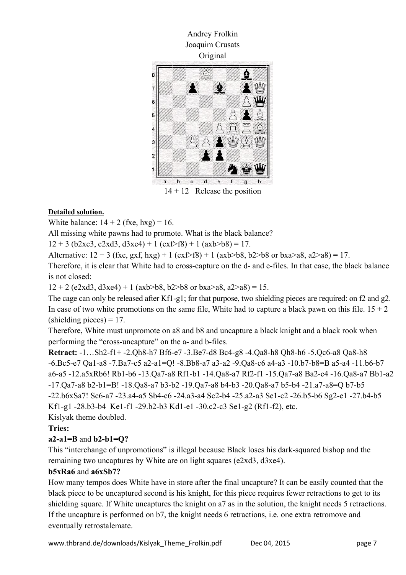Andrey Frolkin Joaquim Crusats Original Ê 8 Ş  $\overline{7}$ WW 6 5 4 MM COM 3  $\overline{2}$  $\mathsf{d}$  $\mathbf b$  $\mathbf{c}$  $\bullet$ 14 + 12 Release the position

## **Detailed solution.**

White balance:  $14 + 2$  (fxe, hxg) = 16.

All missing white pawns had to promote. What is the black balance?

 $12 + 3$  (b2xc3, c2xd3, d3xe4) + 1 (exf>f8) + 1 (axb>b8) = 17.

Alternative:  $12 + 3$  (fxe, gxf, hxg) + 1 (exf>f8) + 1 (axb>b8, b2>b8 or bxa>a8, a2>a8) = 17.

Therefore, it is clear that White had to cross-capture on the d- and e-files. In that case, the black balance is not closed:

 $12 + 2$  (e2xd3, d3xe4) + 1 (axb>b8, b2>b8 or bxa>a8, a2>a8) = 15.

The cage can only be released after Kf1-g1; for that purpose, two shielding pieces are required: on f2 and g2. In case of two white promotions on the same file, White had to capture a black pawn on this file.  $15 + 2$  $(\text{shielding pieces}) = 17.$ 

Therefore, White must unpromote on a8 and b8 and uncapture a black knight and a black rook when performing the "cross-uncapture" on the a- and b-files.

**Retract:** -1…Sh2-f1+ -2.Qh8-h7 Bf6-e7 -3.Be7-d8 Bc4-g8 -4.Qa8-h8 Qh8-h6 -5.Qc6-a8 Qa8-h8 -6.Bc5-e7 Qa1-a8 -7.Ba7-c5 a2-a1=Q! -8.Bb8-a7 a3-a2 -9.Qa8-c6 a4-a3 -10.b7-b8=B a5-a4 -11.b6-b7 a6-a5 -12.a5xRb6! Rb1-b6 -13.Qa7-a8 Rf1-b1 -14.Qa8-a7 Rf2-f1 -15.Qa7-a8 Ba2-c4 -16.Qa8-a7 Bb1-a2 -17.Qa7-a8 b2-b1=B! -18.Qa8-a7 b3-b2 -19.Qa7-a8 b4-b3 -20.Qa8-a7 b5-b4 -21.a7-a8=Q b7-b5 -22.b6xSa7! Sc6-a7 -23.a4-a5 Sb4-c6 -24.a3-a4 Sc2-b4 -25.a2-a3 Se1-c2 -26.b5-b6 Sg2-e1 -27.b4-b5 Kf1-g1 -28.b3-b4 Ke1-f1 -29.b2-b3 Kd1-e1 -30.c2-c3 Se1-g2 (Rf1-f2), etc.

Kislyak theme doubled.

## **Tries:**

## **a2-a1=B** and **b2-b1=Q?**

This "interchange of unpromotions" is illegal because Black loses his dark-squared bishop and the remaining two uncaptures by White are on light squares (e2xd3, d3xe4).

## **b5xRa6** and **a6xSb7?**

How many tempos does White have in store after the final uncapture? It can be easily counted that the black piece to be uncaptured second is his knight, for this piece requires fewer retractions to get to its shielding square. If White uncaptures the knight on a7 as in the solution, the knight needs 5 retractions. If the uncapture is performed on b7, the knight needs 6 retractions, i.e. one extra retromove and eventually retrostalemate.